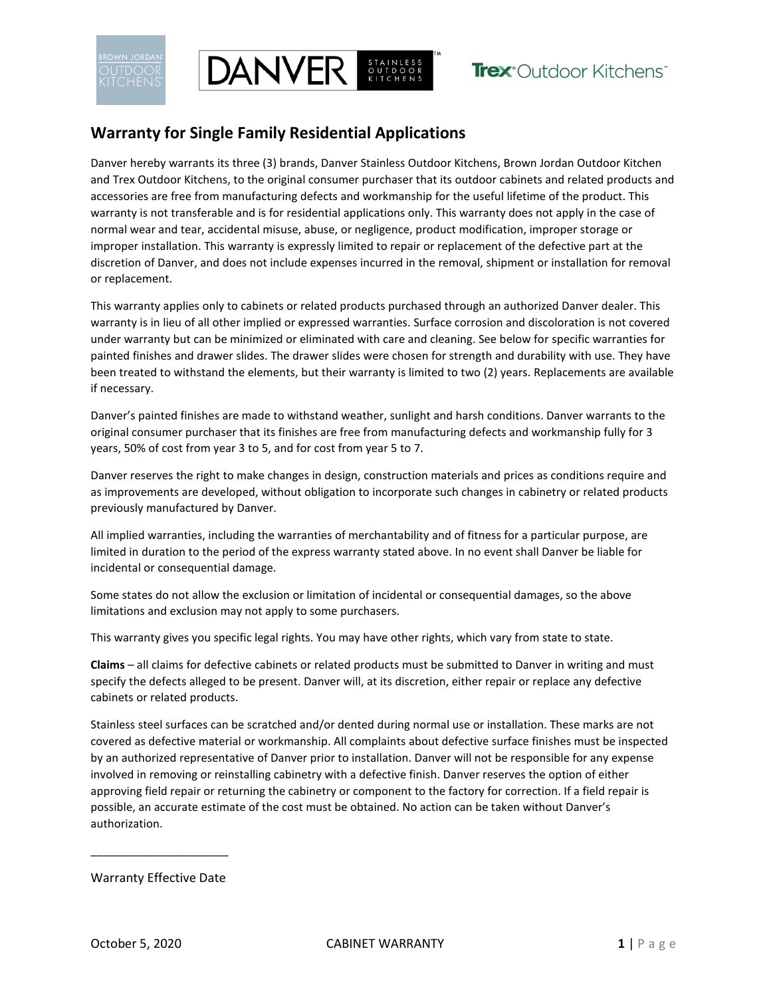

## **Warranty for Single Family Residential Applications**

**DANVER** BUTDOOR

Danver hereby warrants its three (3) brands, Danver Stainless Outdoor Kitchens, Brown Jordan Outdoor Kitchen and Trex Outdoor Kitchens, to the original consumer purchaser that its outdoor cabinets and related products and accessories are free from manufacturing defects and workmanship for the useful lifetime of the product. This warranty is not transferable and is for residential applications only. This warranty does not apply in the case of normal wear and tear, accidental misuse, abuse, or negligence, product modification, improper storage or improper installation. This warranty is expressly limited to repair or replacement of the defective part at the discretion of Danver, and does not include expenses incurred in the removal, shipment or installation for removal or replacement.

This warranty applies only to cabinets or related products purchased through an authorized Danver dealer. This warranty is in lieu of all other implied or expressed warranties. Surface corrosion and discoloration is not covered under warranty but can be minimized or eliminated with care and cleaning. See below for specific warranties for painted finishes and drawer slides. The drawer slides were chosen for strength and durability with use. They have been treated to withstand the elements, but their warranty is limited to two (2) years. Replacements are available if necessary.

Danver's painted finishes are made to withstand weather, sunlight and harsh conditions. Danver warrants to the original consumer purchaser that its finishes are free from manufacturing defects and workmanship fully for 3 years, 50% of cost from year 3 to 5, and for cost from year 5 to 7.

Danver reserves the right to make changes in design, construction materials and prices as conditions require and as improvements are developed, without obligation to incorporate such changes in cabinetry or related products previously manufactured by Danver.

All implied warranties, including the warranties of merchantability and of fitness for a particular purpose, are limited in duration to the period of the express warranty stated above. In no event shall Danver be liable for incidental or consequential damage.

Some states do not allow the exclusion or limitation of incidental or consequential damages, so the above limitations and exclusion may not apply to some purchasers.

This warranty gives you specific legal rights. You may have other rights, which vary from state to state.

**Claims** – all claims for defective cabinets or related products must be submitted to Danver in writing and must specify the defects alleged to be present. Danver will, at its discretion, either repair or replace any defective cabinets or related products.

Stainless steel surfaces can be scratched and/or dented during normal use or installation. These marks are not covered as defective material or workmanship. All complaints about defective surface finishes must be inspected by an authorized representative of Danver prior to installation. Danver will not be responsible for any expense involved in removing or reinstalling cabinetry with a defective finish. Danver reserves the option of either approving field repair or returning the cabinetry or component to the factory for correction. If a field repair is possible, an accurate estimate of the cost must be obtained. No action can be taken without Danver's authorization.

Warranty Effective Date

\_\_\_\_\_\_\_\_\_\_\_\_\_\_\_\_\_\_\_\_\_\_